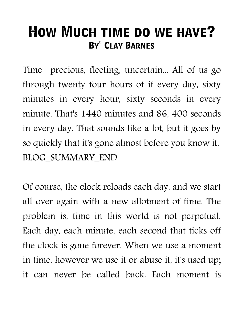## **How Much time do we have? BY" CLAY BARNES**

Time- precious, fleeting, uncertain... All of us go through twenty four hours of it every day, sixty minutes in every hour, sixty seconds in every minute. That's 1440 minutes and 86, 400 seconds in every day. That sounds like a lot, but it goes by so quickly that it's gone almost before you know it. BLOG\_SUMMARY\_END

Of course, the clock reloads each day, and we start all over again with a new allotment of time. The problem is, time in this world is not perpetual. Each day, each minute, each second that ticks off the clock is gone forever. When we use a moment in time, however we use it or abuse it, it's used up; it can never be called back. Each moment is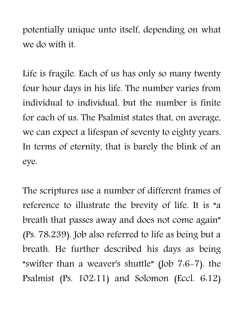potentially unique unto itself, depending on what we do with it.

Life is fragile. Each of us has only so many twenty four hour days in his life. The number varies from individual to individual, but the number is finite for each of us. The Psalmist states that, on average, we can expect a lifespan of seventy to eighty years. In terms of eternity, that is barely the blink of an eye.

The scriptures use a number of different frames of reference to illustrate the brevity of life. It is "a breath that passes away and does not come again" (Ps. 78:239). Job also referred to life as being but a breath. He further described his days as being "swifter than a weaver's shuttle" (Job 7:6-7). the Psalmist (Ps. 102:11) and Solomon (Eccl. 6:12)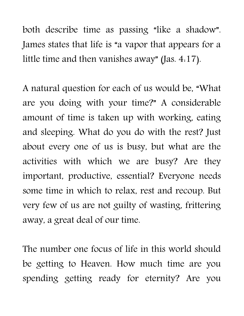both describe time as passing "like a shadow". James states that life is "a vapor that appears for a little time and then vanishes away" (Jas. 4:17).

A natural question for each of us would be, "What are you doing with your time?" A considerable amount of time is taken up with working, eating and sleeping. What do you do with the rest? Just about every one of us is busy, but what are the activities with which we are busy? Are they important, productive, essential? Everyone needs some time in which to relax, rest and recoup. But very few of us are not guilty of wasting, frittering away, a great deal of our time.

The number one focus of life in this world should be getting to Heaven. How much time are you spending getting ready for eternity? Are you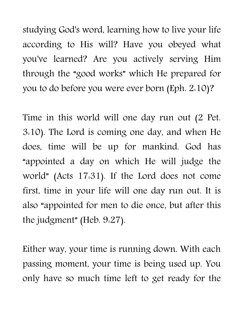studying God's word, learning how to live your life according to His will? Have you obeyed what you've learned? Are you actively serving Him through the "good works" which He prepared for you to do before you were ever born (Eph. 2:10)?

Time in this world will one day run out (2 Pet. 3:10). The Lord is coming one day, and when He does, time will be up for mankind. God has "appointed a day on which He will judge the world" (Acts 17:31). If the Lord does not come first, time in your life will one day run out. It is also "appointed for men to die once, but after this the judgment" (Heb. 9:27).

Either way, your time is running down. With each passing moment, your time is being used up. You only have so much time left to get ready for the